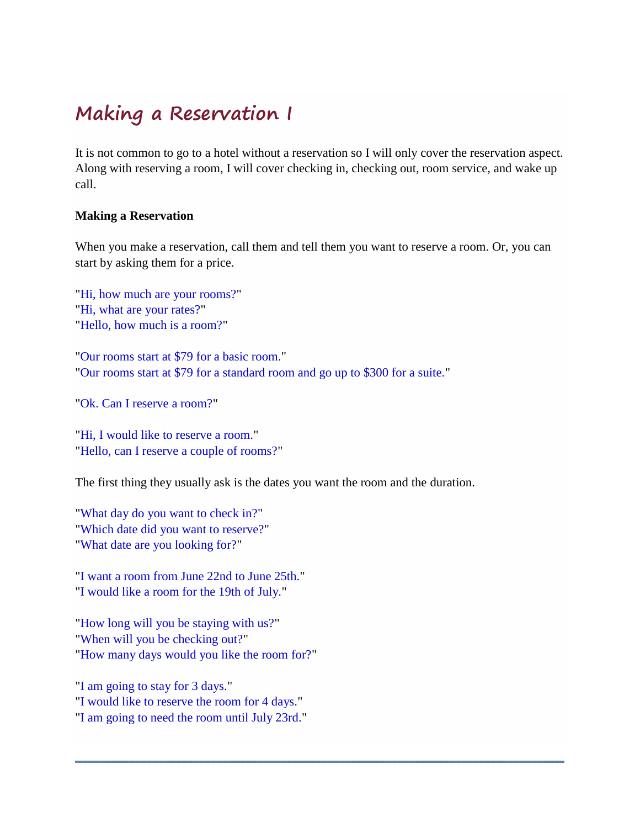# **Making a Reservation I**

It is not common to go to a hotel without a reservation so I will only cover the reservation aspect. Along with reserving a room, I will cover checking in, checking out, room service, and wake up call.

# **Making a Reservation**

When you make a reservation, call them and tell them you want to reserve a room. Or, you can start by asking them for a price.

"Hi, how much are your rooms?" "Hi, what are your rates?" "Hello, how much is a room?"

"Our rooms start at \$79 for a basic room." "Our rooms start at \$79 for a standard room and go up to \$300 for a suite."

"Ok. Can I reserve a room?"

"Hi, I would like to reserve a room." "Hello, can I reserve a couple of rooms?"

The first thing they usually ask is the dates you want the room and the duration.

"What day do you want to check in?" "Which date did you want to reserve?" "What date are you looking for?"

"I want a room from June 22nd to June 25th." "I would like a room for the 19th of July."

"How long will you be staying with us?" "When will you be checking out?" "How many days would you like the room for?"

"I am going to stay for 3 days." "I would like to reserve the room for 4 days." "I am going to need the room until July 23rd."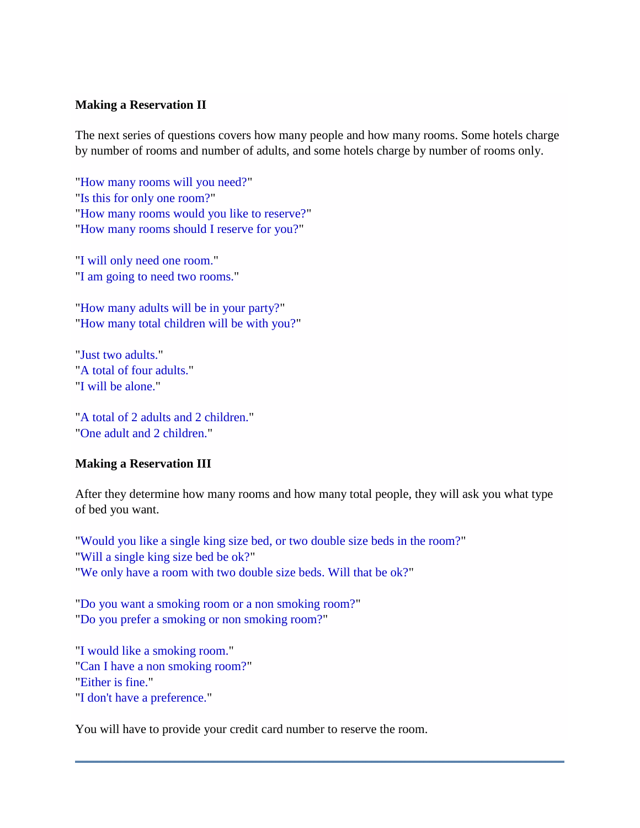# **Making a Reservation II**

The next series of questions covers how many people and how many rooms. Some hotels charge by number of rooms and number of adults, and some hotels charge by number of rooms only.

"How many rooms will you need?" "Is this for only one room?" "How many rooms would you like to reserve?" "How many rooms should I reserve for you?"

"I will only need one room." "I am going to need two rooms."

"How many adults will be in your party?" "How many total children will be with you?"

"Just two adults." "A total of four adults." "I will be alone."

"A total of 2 adults and 2 children." "One adult and 2 children."

### **Making a Reservation III**

After they determine how many rooms and how many total people, they will ask you what type of bed you want.

"Would you like a single king size bed, or two double size beds in the room?" "Will a single king size bed be ok?" "We only have a room with two double size beds. Will that be ok?"

"Do you want a smoking room or a non smoking room?" "Do you prefer a smoking or non smoking room?"

"I would like a smoking room." "Can I have a non smoking room?" "Either is fine." "I don't have a preference."

You will have to provide your credit card number to reserve the room.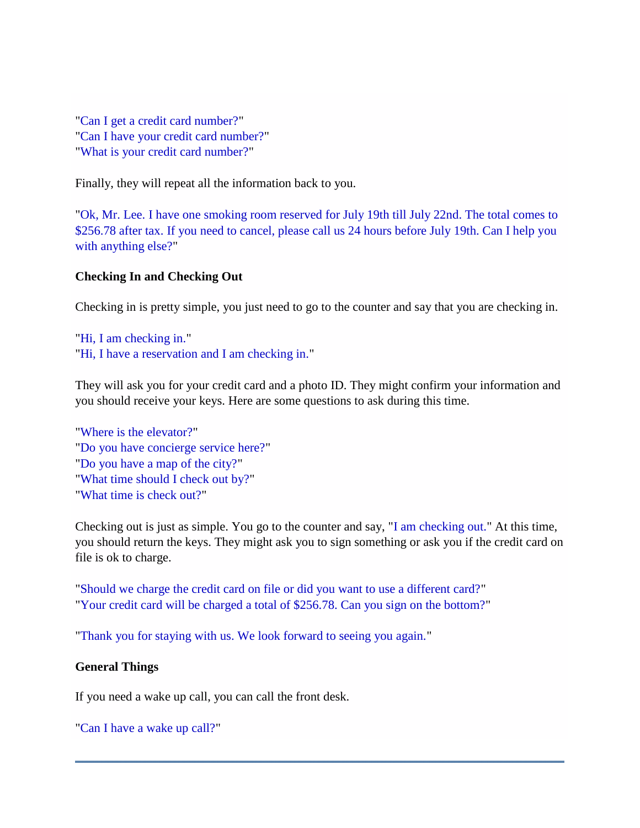"Can I get a credit card number?" "Can I have your credit card number?" "What is your credit card number?"

Finally, they will repeat all the information back to you.

"Ok, Mr. Lee. I have one smoking room reserved for July 19th till July 22nd. The total comes to \$256.78 after tax. If you need to cancel, please call us 24 hours before July 19th. Can I help you with anything else?"

# **Checking In and Checking Out**

Checking in is pretty simple, you just need to go to the counter and say that you are checking in.

```
"Hi, I am checking in."
"Hi, I have a reservation and I am checking in."
```
They will ask you for your credit card and a photo ID. They might confirm your information and you should receive your keys. Here are some questions to ask during this time.

```
"Where is the elevator?"
"Do you have concierge service here?"
"Do you have a map of the city?"
"What time should I check out by?"
"What time is check out?"
```
Checking out is just as simple. You go to the counter and say, "I am checking out." At this time, you should return the keys. They might ask you to sign something or ask you if the credit card on file is ok to charge.

"Should we charge the credit card on file or did you want to use a different card?" "Your credit card will be charged a total of \$256.78. Can you sign on the bottom?"

"Thank you for staying with us. We look forward to seeing you again."

# **General Things**

If you need a wake up call, you can call the front desk.

"Can I have a wake up call?"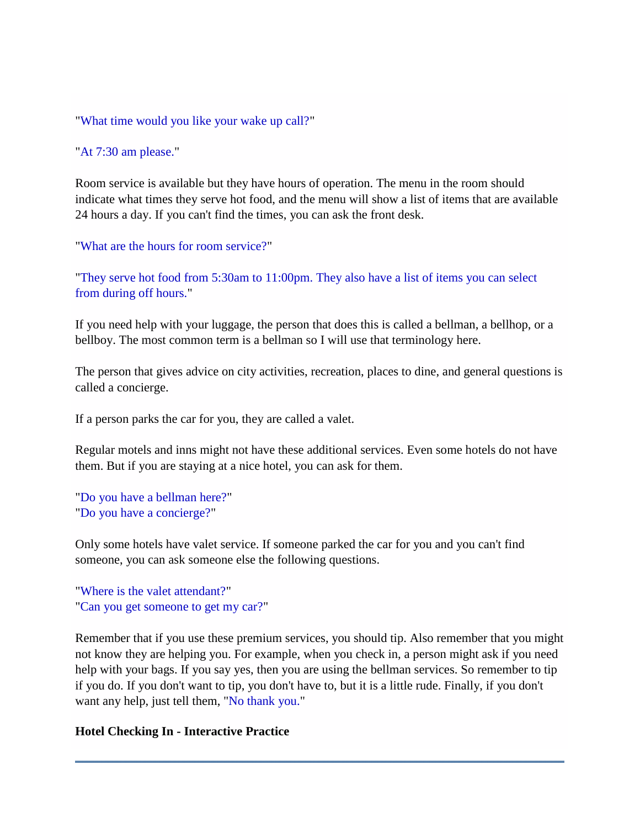"What time would you like your wake up call?"

"At 7:30 am please."

Room service is available but they have hours of operation. The menu in the room should indicate what times they serve hot food, and the menu will show a list of items that are available 24 hours a day. If you can't find the times, you can ask the front desk.

"What are the hours for room service?"

"They serve hot food from 5:30am to 11:00pm. They also have a list of items you can select from during off hours."

If you need help with your luggage, the person that does this is called a bellman, a bellhop, or a bellboy. The most common term is a bellman so I will use that terminology here.

The person that gives advice on city activities, recreation, places to dine, and general questions is called a concierge.

If a person parks the car for you, they are called a valet.

Regular motels and inns might not have these additional services. Even some hotels do not have them. But if you are staying at a nice hotel, you can ask for them.

```
"Do you have a bellman here?"
"Do you have a concierge?"
```
Only some hotels have valet service. If someone parked the car for you and you can't find someone, you can ask someone else the following questions.

"Where is the valet attendant?" "Can you get someone to get my car?"

Remember that if you use these premium services, you should tip. Also remember that you might not know they are helping you. For example, when you check in, a person might ask if you need help with your bags. If you say yes, then you are using the bellman services. So remember to tip if you do. If you don't want to tip, you don't have to, but it is a little rude. Finally, if you don't want any help, just tell them, "No thank you."

### **Hotel Checking In - Interactive Practice**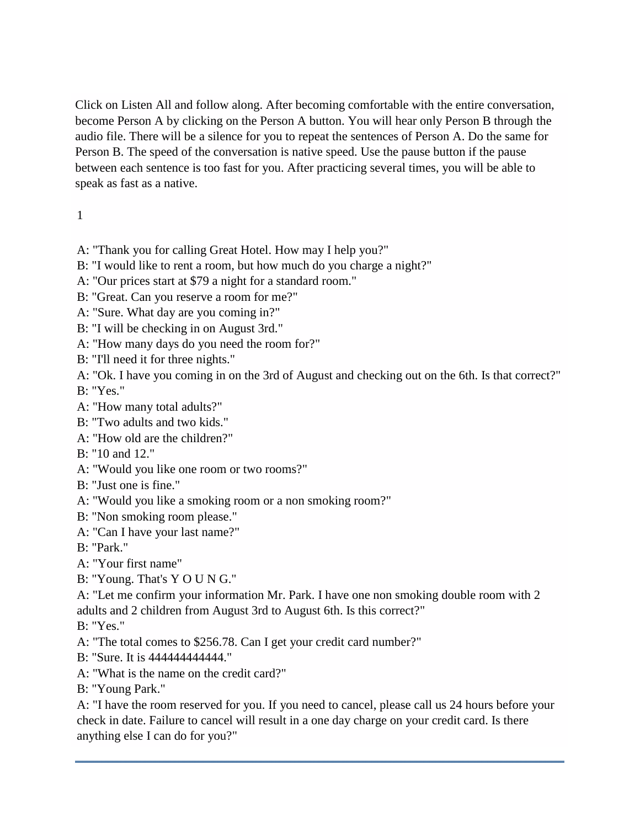Click on Listen All and follow along. After becoming comfortable with the entire conversation, become Person A by clicking on the Person A button. You will hear only Person B through the audio file. There will be a silence for you to repeat the sentences of Person A. Do the same for Person B. The speed of the conversation is native speed. Use the pause button if the pause between each sentence is too fast for you. After practicing several times, you will be able to speak as fast as a native.

# 1

- A: "Thank you for calling Great Hotel. How may I help you?"
- B: "I would like to rent a room, but how much do you charge a night?"
- A: "Our prices start at \$79 a night for a standard room."
- B: "Great. Can you reserve a room for me?"
- A: "Sure. What day are you coming in?"
- B: "I will be checking in on August 3rd."
- A: "How many days do you need the room for?"
- B: "I'll need it for three nights."
- A: "Ok. I have you coming in on the 3rd of August and checking out on the 6th. Is that correct?"

B: "Yes."

- A: "How many total adults?"
- B: "Two adults and two kids."
- A: "How old are the children?"
- B: "10 and 12."
- A: "Would you like one room or two rooms?"
- B: "Just one is fine."
- A: "Would you like a smoking room or a non smoking room?"
- B: "Non smoking room please."
- A: "Can I have your last name?"
- B: "Park."
- A: "Your first name"
- B: "Young. That's Y O U N G."

A: "Let me confirm your information Mr. Park. I have one non smoking double room with 2 adults and 2 children from August 3rd to August 6th. Is this correct?"

B: "Yes."

- A: "The total comes to \$256.78. Can I get your credit card number?"
- B: "Sure. It is 444444444444."
- A: "What is the name on the credit card?"
- B: "Young Park."

A: "I have the room reserved for you. If you need to cancel, please call us 24 hours before your check in date. Failure to cancel will result in a one day charge on your credit card. Is there anything else I can do for you?"